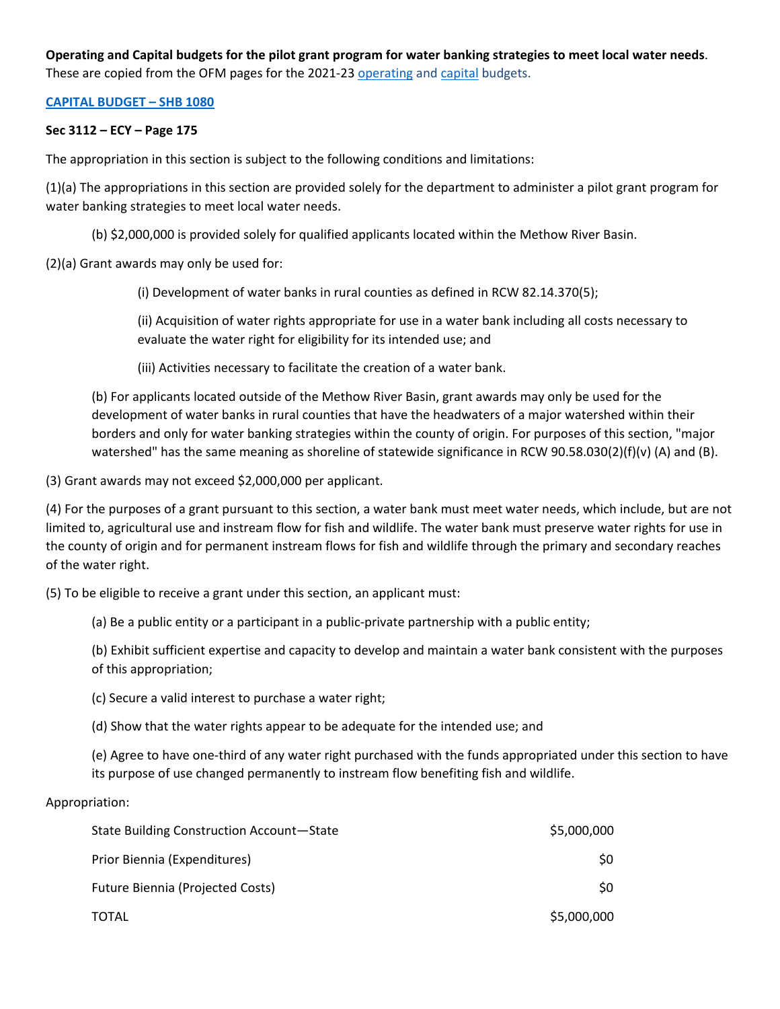# **Operating and Capital budgets for the pilot grant program for water banking strategies to meet local water needs**. These are copied from the OFM pages for the 2021-23 [operating](http://lawfilesext.leg.wa.gov/biennium/2021-22/Pdf/Bills/Senate%20Passed%20Legislature/5092-S.PL.pdf?q=20210428145030) and [capital](http://lawfilesext.leg.wa.gov/biennium/2021-22/Pdf/Bills/House%20Passed%20Legislature/1080-S.PL.pdf?q=20210428150650) budgets.

## **[CAPITAL BUDGET –](http://lawfilesext.leg.wa.gov/biennium/2021-22/Pdf/Bills/House%20Passed%20Legislature/1080-S.PL.pdf?q=20210428150650) SHB 1080**

## **Sec 3112 – ECY – Page 175**

The appropriation in this section is subject to the following conditions and limitations:

(1)(a) The appropriations in this section are provided solely for the department to administer a pilot grant program for water banking strategies to meet local water needs.

(b) \$2,000,000 is provided solely for qualified applicants located within the Methow River Basin.

(2)(a) Grant awards may only be used for:

(i) Development of water banks in rural counties as defined in RCW 82.14.370(5);

(ii) Acquisition of water rights appropriate for use in a water bank including all costs necessary to evaluate the water right for eligibility for its intended use; and

(iii) Activities necessary to facilitate the creation of a water bank.

(b) For applicants located outside of the Methow River Basin, grant awards may only be used for the development of water banks in rural counties that have the headwaters of a major watershed within their borders and only for water banking strategies within the county of origin. For purposes of this section, "major watershed" has the same meaning as shoreline of statewide significance in RCW 90.58.030(2)(f)(v) (A) and (B).

(3) Grant awards may not exceed \$2,000,000 per applicant.

(4) For the purposes of a grant pursuant to this section, a water bank must meet water needs, which include, but are not limited to, agricultural use and instream flow for fish and wildlife. The water bank must preserve water rights for use in the county of origin and for permanent instream flows for fish and wildlife through the primary and secondary reaches of the water right.

(5) To be eligible to receive a grant under this section, an applicant must:

(a) Be a public entity or a participant in a public-private partnership with a public entity;

(b) Exhibit sufficient expertise and capacity to develop and maintain a water bank consistent with the purposes of this appropriation;

(c) Secure a valid interest to purchase a water right;

(d) Show that the water rights appear to be adequate for the intended use; and

(e) Agree to have one-third of any water right purchased with the funds appropriated under this section to have its purpose of use changed permanently to instream flow benefiting fish and wildlife.

#### Appropriation:

| State Building Construction Account-State | \$5,000,000 |
|-------------------------------------------|-------------|
| Prior Biennia (Expenditures)              | S0          |
| <b>Future Biennia (Projected Costs)</b>   | S0          |
| TOTAL                                     | \$5,000,000 |